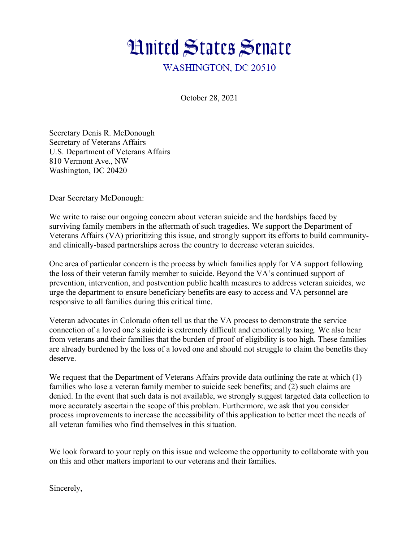

October 28, 2021

Secretary Denis R. McDonough Secretary of Veterans Affairs U.S. Department of Veterans Affairs 810 Vermont Ave., NW Washington, DC 20420

Dear Secretary McDonough:

We write to raise our ongoing concern about veteran suicide and the hardships faced by surviving family members in the aftermath of such tragedies. We support the Department of Veterans Affairs (VA) prioritizing this issue, and strongly support its efforts to build communityand clinically-based partnerships across the country to decrease veteran suicides.

One area of particular concern is the process by which families apply for VA support following the loss of their veteran family member to suicide. Beyond the VA's continued support of prevention, intervention, and postvention public health measures to address veteran suicides, we urge the department to ensure beneficiary benefits are easy to access and VA personnel are responsive to all families during this critical time.

Veteran advocates in Colorado often tell us that the VA process to demonstrate the service connection of a loved one's suicide is extremely difficult and emotionally taxing. We also hear from veterans and their families that the burden of proof of eligibility is too high. These families are already burdened by the loss of a loved one and should not struggle to claim the benefits they deserve.

We request that the Department of Veterans Affairs provide data outlining the rate at which (1) families who lose a veteran family member to suicide seek benefits; and (2) such claims are denied. In the event that such data is not available, we strongly suggest targeted data collection to more accurately ascertain the scope of this problem. Furthermore, we ask that you consider process improvements to increase the accessibility of this application to better meet the needs of all veteran families who find themselves in this situation.

We look forward to your reply on this issue and welcome the opportunity to collaborate with you on this and other matters important to our veterans and their families.

Sincerely,